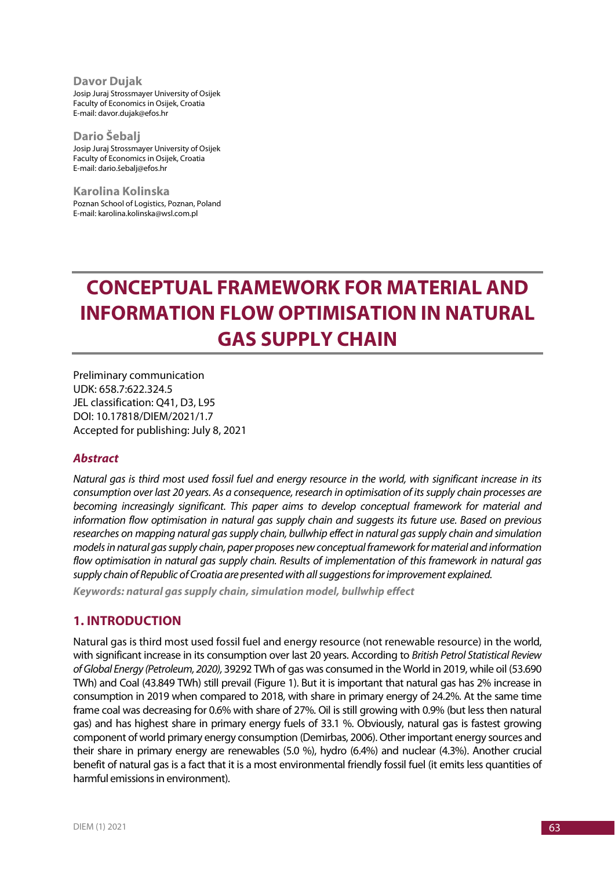**Davor Dujak** Josip Juraj Strossmayer University of Osijek Faculty of Economics in Osijek, Croatia E-mail: davor.dujak@efos.hr

**Dario Šebalj** Josip Juraj Strossmayer University of Osijek Faculty of Economics in Osijek, Croatia E-mail: dario.šebalj@efos.hr

**Karolina Kolinska** Poznan School of Logistics, Poznan, Poland E-mail: karolina.kolinska@wsl.com.pl

# **CONCEPTUAL FRAMEWORK FOR MATERIAL AND INFORMATION FLOW OPTIMISATION IN NATURAL GAS SUPPLY CHAIN**

Preliminary communication UDK: 658.7:622.324.5 JEL classification: Q41, D3, L95 DOI: 10.17818/DIEM/2021/1.7 Accepted for publishing: July 8, 2021

#### *Abstract*

*Natural gas is third most used fossil fuel and energy resource in the world, with significant increase in its consumption over last 20 years. As a consequence, research in optimisation of its supply chain processes are becoming increasingly significant. This paper aims to develop conceptual framework for material and information flow optimisation in natural gas supply chain and suggests its future use. Based on previous researches on mapping natural gas supply chain, bullwhip effect in natural gas supply chain and simulation models in natural gas supply chain, paper proposes new conceptual framework for material and information flow optimisation in natural gas supply chain. Results of implementation of this framework in natural gas supply chain of Republic of Croatia are presented with all suggestions for improvement explained.* 

*Keywords: natural gas supply chain, simulation model, bullwhip effect*

## **1. INTRODUCTION**

Natural gas is third most used fossil fuel and energy resource (not renewable resource) in the world, with significant increase in its consumption over last 20 years. According to *British Petrol Statistical Review of Global Energy (Petroleum, 2020),* 39292 TWh of gas was consumed in the World in 2019, while oil (53.690 TWh) and Coal (43.849 TWh) still prevail (Figure 1). But it is important that natural gas has 2% increase in consumption in 2019 when compared to 2018, with share in primary energy of 24.2%. At the same time frame coal was decreasing for 0.6% with share of 27%. Oil is still growing with 0.9% (but less then natural gas) and has highest share in primary energy fuels of 33.1 %. Obviously, natural gas is fastest growing component of world primary energy consumption (Demirbas, 2006). Other important energy sources and their share in primary energy are renewables (5.0 %), hydro (6.4%) and nuclear (4.3%). Another crucial benefit of natural gas is a fact that it is a most environmental friendly fossil fuel (it emits less quantities of harmful emissions in environment).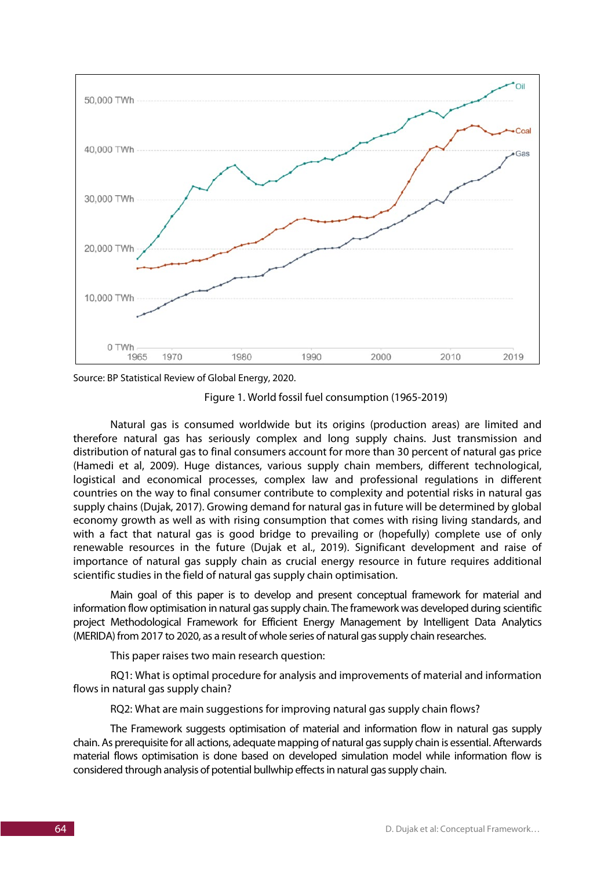

Source: BP Statistical Review of Global Energy, 2020.

Figure 1. World fossil fuel consumption (1965-2019)

Natural gas is consumed worldwide but its origins (production areas) are limited and therefore natural gas has seriously complex and long supply chains. Just transmission and distribution of natural gas to final consumers account for more than 30 percent of natural gas price (Hamedi et al, 2009). Huge distances, various supply chain members, different technological, logistical and economical processes, complex law and professional regulations in different countries on the way to final consumer contribute to complexity and potential risks in natural gas supply chains (Dujak, 2017). Growing demand for natural gas in future will be determined by global economy growth as well as with rising consumption that comes with rising living standards, and with a fact that natural gas is good bridge to prevailing or (hopefully) complete use of only renewable resources in the future (Dujak et al., 2019). Significant development and raise of importance of natural gas supply chain as crucial energy resource in future requires additional scientific studies in the field of natural gas supply chain optimisation.

Main goal of this paper is to develop and present conceptual framework for material and information flow optimisation in natural gas supply chain. The framework was developed during scientific project Methodological Framework for Efficient Energy Management by Intelligent Data Analytics (MERIDA) from 2017 to 2020, as a result of whole series of natural gas supply chain researches.

This paper raises two main research question:

RQ1: What is optimal procedure for analysis and improvements of material and information flows in natural gas supply chain?

RQ2: What are main suggestions for improving natural gas supply chain flows?

The Framework suggests optimisation of material and information flow in natural gas supply chain. As prerequisite for all actions, adequate mapping of natural gas supply chain is essential. Afterwards material flows optimisation is done based on developed simulation model while information flow is considered through analysis of potential bullwhip effects in natural gas supply chain.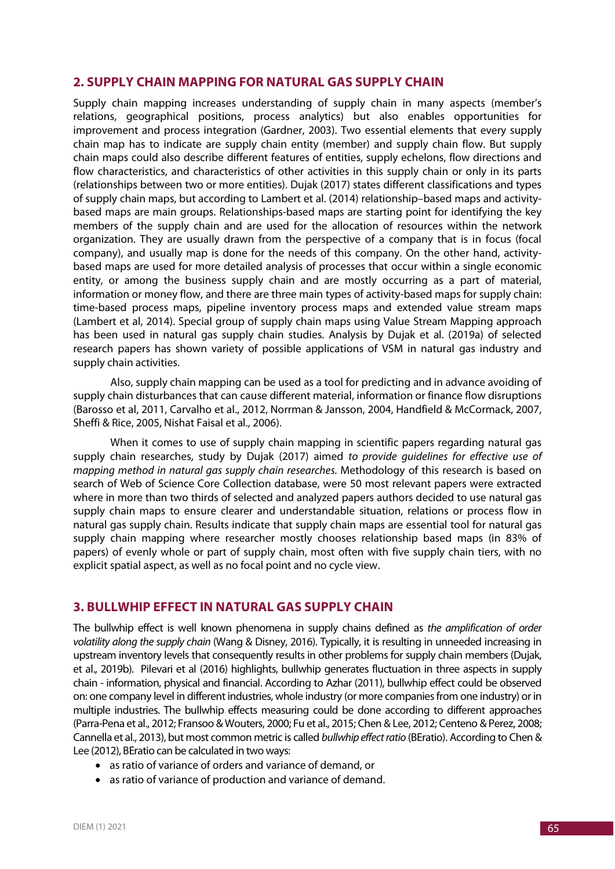## **2. SUPPLY CHAIN MAPPING FOR NATURAL GAS SUPPLY CHAIN**

Supply chain mapping increases understanding of supply chain in many aspects (member's relations, geographical positions, process analytics) but also enables opportunities for improvement and process integration (Gardner, 2003). Two essential elements that every supply chain map has to indicate are supply chain entity (member) and supply chain flow. But supply chain maps could also describe different features of entities, supply echelons, flow directions and flow characteristics, and characteristics of other activities in this supply chain or only in its parts (relationships between two or more entities). Dujak (2017) states different classifications and types of supply chain maps, but according to Lambert et al. (2014) relationship–based maps and activitybased maps are main groups. Relationships-based maps are starting point for identifying the key members of the supply chain and are used for the allocation of resources within the network organization. They are usually drawn from the perspective of a company that is in focus (focal company), and usually map is done for the needs of this company. On the other hand, activitybased maps are used for more detailed analysis of processes that occur within a single economic entity, or among the business supply chain and are mostly occurring as a part of material, information or money flow, and there are three main types of activity-based maps for supply chain: time-based process maps, pipeline inventory process maps and extended value stream maps (Lambert et al, 2014). Special group of supply chain maps using Value Stream Mapping approach has been used in natural gas supply chain studies. Analysis by Dujak et al. (2019a) of selected research papers has shown variety of possible applications of VSM in natural gas industry and supply chain activities.

Also, supply chain mapping can be used as a tool for predicting and in advance avoiding of supply chain disturbances that can cause different material, information or finance flow disruptions (Barosso et al, 2011, Carvalho et al., 2012, Norrman & Jansson, 2004, Handfield & McCormack, 2007, Sheffi & Rice, 2005, Nishat Faisal et al., 2006).

When it comes to use of supply chain mapping in scientific papers regarding natural gas supply chain researches, study by Dujak (2017) aimed *to provide guidelines for effective use of mapping method in natural gas supply chain researches.* Methodology of this research is based on search of Web of Science Core Collection database, were 50 most relevant papers were extracted where in more than two thirds of selected and analyzed papers authors decided to use natural gas supply chain maps to ensure clearer and understandable situation, relations or process flow in natural gas supply chain. Results indicate that supply chain maps are essential tool for natural gas supply chain mapping where researcher mostly chooses relationship based maps (in 83% of papers) of evenly whole or part of supply chain, most often with five supply chain tiers, with no explicit spatial aspect, as well as no focal point and no cycle view.

## **3. BULLWHIP EFFECT IN NATURAL GAS SUPPLY CHAIN**

The bullwhip effect is well known phenomena in supply chains defined as *the amplification of order volatility along the supply chain* (Wang & Disney, 2016). Typically, it is resulting in unneeded increasing in upstream inventory levels that consequently results in other problems for supply chain members (Dujak, et al., 2019b). Pilevari et al (2016) highlights, bullwhip generates fluctuation in three aspects in supply chain - information, physical and financial. According to Azhar (2011), bullwhip effect could be observed on: one company level in different industries, whole industry (or more companies from one industry) or in multiple industries. The bullwhip effects measuring could be done according to different approaches (Parra-Pena et al., 2012; Fransoo & Wouters, 2000; Fu et al., 2015; Chen & Lee, 2012; Centeno & Perez, 2008; Cannella et al., 2013), but most common metric is called *bullwhip effect ratio* (BEratio). According to Chen & Lee (2012), BEratio can be calculated in two ways:

- as ratio of variance of orders and variance of demand, or
- as ratio of variance of production and variance of demand.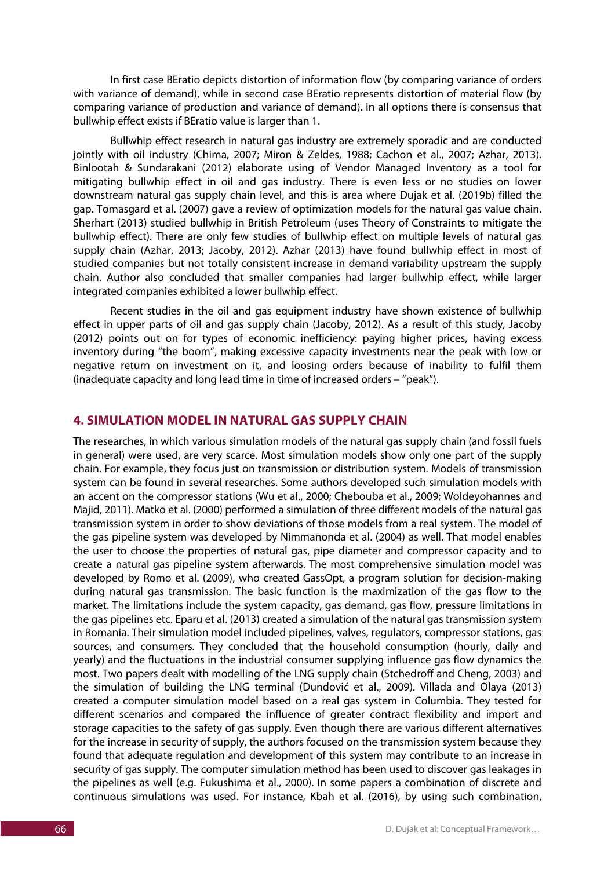In first case BEratio depicts distortion of information flow (by comparing variance of orders with variance of demand), while in second case BEratio represents distortion of material flow (by comparing variance of production and variance of demand). In all options there is consensus that bullwhip effect exists if BEratio value is larger than 1.

Bullwhip effect research in natural gas industry are extremely sporadic and are conducted jointly with oil industry (Chima, 2007; Miron & Zeldes, 1988; Cachon et al., 2007; Azhar, 2013). Binlootah & Sundarakani (2012) elaborate using of Vendor Managed Inventory as a tool for mitigating bullwhip effect in oil and gas industry. There is even less or no studies on lower downstream natural gas supply chain level, and this is area where Dujak et al. (2019b) filled the gap. Tomasgard et al. (2007) gave a review of optimization models for the natural gas value chain. Sherhart (2013) studied bullwhip in British Petroleum (uses Theory of Constraints to mitigate the bullwhip effect). There are only few studies of bullwhip effect on multiple levels of natural gas supply chain (Azhar, 2013; Jacoby, 2012). Azhar (2013) have found bullwhip effect in most of studied companies but not totally consistent increase in demand variability upstream the supply chain. Author also concluded that smaller companies had larger bullwhip effect, while larger integrated companies exhibited a lower bullwhip effect.

Recent studies in the oil and gas equipment industry have shown existence of bullwhip effect in upper parts of oil and gas supply chain (Jacoby, 2012). As a result of this study, Jacoby (2012) points out on for types of economic inefficiency: paying higher prices, having excess inventory during "the boom", making excessive capacity investments near the peak with low or negative return on investment on it, and loosing orders because of inability to fulfil them (inadequate capacity and long lead time in time of increased orders – "peak").

#### **4. SIMULATION MODEL IN NATURAL GAS SUPPLY CHAIN**

The researches, in which various simulation models of the natural gas supply chain (and fossil fuels in general) were used, are very scarce. Most simulation models show only one part of the supply chain. For example, they focus just on transmission or distribution system. Models of transmission system can be found in several researches. Some authors developed such simulation models with an accent on the compressor stations (Wu et al., 2000; Chebouba et al., 2009; Woldeyohannes and Majid, 2011). Matko et al. (2000) performed a simulation of three different models of the natural gas transmission system in order to show deviations of those models from a real system. The model of the gas pipeline system was developed by Nimmanonda et al. (2004) as well. That model enables the user to choose the properties of natural gas, pipe diameter and compressor capacity and to create a natural gas pipeline system afterwards. The most comprehensive simulation model was developed by Romo et al. (2009), who created GassOpt, a program solution for decision-making during natural gas transmission. The basic function is the maximization of the gas flow to the market. The limitations include the system capacity, gas demand, gas flow, pressure limitations in the gas pipelines etc. Eparu et al. (2013) created a simulation of the natural gas transmission system in Romania. Their simulation model included pipelines, valves, regulators, compressor stations, gas sources, and consumers. They concluded that the household consumption (hourly, daily and yearly) and the fluctuations in the industrial consumer supplying influence gas flow dynamics the most. Two papers dealt with modelling of the LNG supply chain (Stchedroff and Cheng, 2003) and the simulation of building the LNG terminal (Dundović et al., 2009). Villada and Olaya (2013) created a computer simulation model based on a real gas system in Columbia. They tested for different scenarios and compared the influence of greater contract flexibility and import and storage capacities to the safety of gas supply. Even though there are various different alternatives for the increase in security of supply, the authors focused on the transmission system because they found that adequate regulation and development of this system may contribute to an increase in security of gas supply. The computer simulation method has been used to discover gas leakages in the pipelines as well (e.g. Fukushima et al., 2000). In some papers a combination of discrete and continuous simulations was used. For instance, Kbah et al. (2016), by using such combination,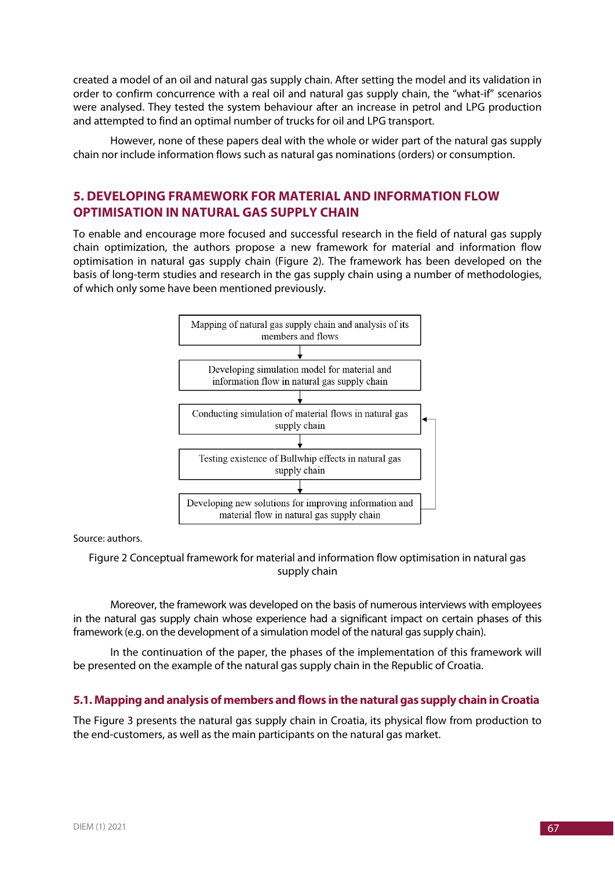created a model of an oil and natural gas supply chain. After setting the model and its validation in order to confirm concurrence with a real oil and natural gas supply chain, the "what-if" scenarios were analysed. They tested the system behaviour after an increase in petrol and LPG production and attempted to find an optimal number of trucks for oil and LPG transport.

However, none of these papers deal with the whole or wider part of the natural gas supply chain nor include information flows such as natural gas nominations (orders) or consumption.

# **5. DEVELOPING FRAMEWORK FOR MATERIAL AND INFORMATION FLOW OPTIMISATION IN NATURAL GAS SUPPLY CHAIN**

To enable and encourage more focused and successful research in the field of natural gas supply chain optimization, the authors propose a new framework for material and information flow optimisation in natural gas supply chain (Figure 2). The framework has been developed on the basis of long-term studies and research in the gas supply chain using a number of methodologies, of which only some have been mentioned previously.



Source: authors.

#### Figure 2 Conceptual framework for material and information flow optimisation in natural gas supply chain

Moreover, the framework was developed on the basis of numerous interviews with employees in the natural gas supply chain whose experience had a significant impact on certain phases of this framework (e.g. on the development of a simulation model of the natural gas supply chain).

In the continuation of the paper, the phases of the implementation of this framework will be presented on the example of the natural gas supply chain in the Republic of Croatia.

#### **5.1. Mapping and analysis of members and flows in the natural gas supply chain in Croatia**

The Figure 3 presents the natural gas supply chain in Croatia, its physical flow from production to the end-customers, as well as the main participants on the natural gas market.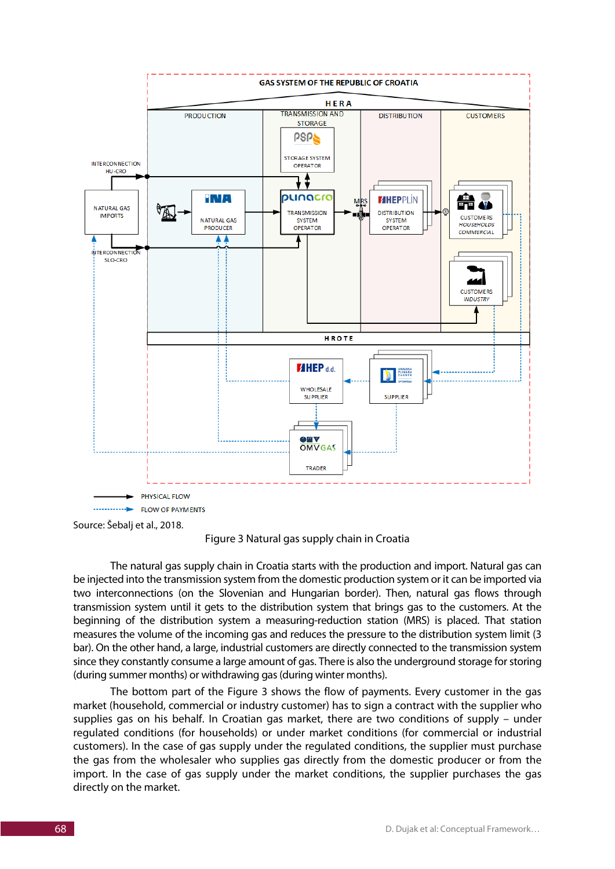

Source: Šebalj et al., 2018.

Figure 3 Natural gas supply chain in Croatia

The natural gas supply chain in Croatia starts with the production and import. Natural gas can be injected into the transmission system from the domestic production system or it can be imported via two interconnections (on the Slovenian and Hungarian border). Then, natural gas flows through transmission system until it gets to the distribution system that brings gas to the customers. At the beginning of the distribution system a measuring-reduction station (MRS) is placed. That station measures the volume of the incoming gas and reduces the pressure to the distribution system limit (3 bar). On the other hand, a large, industrial customers are directly connected to the transmission system since they constantly consume a large amount of gas. There is also the underground storage for storing (during summer months) or withdrawing gas (during winter months).

The bottom part of the Figure 3 shows the flow of payments. Every customer in the gas market (household, commercial or industry customer) has to sign a contract with the supplier who supplies gas on his behalf. In Croatian gas market, there are two conditions of supply – under regulated conditions (for households) or under market conditions (for commercial or industrial customers). In the case of gas supply under the regulated conditions, the supplier must purchase the gas from the wholesaler who supplies gas directly from the domestic producer or from the import. In the case of gas supply under the market conditions, the supplier purchases the gas directly on the market.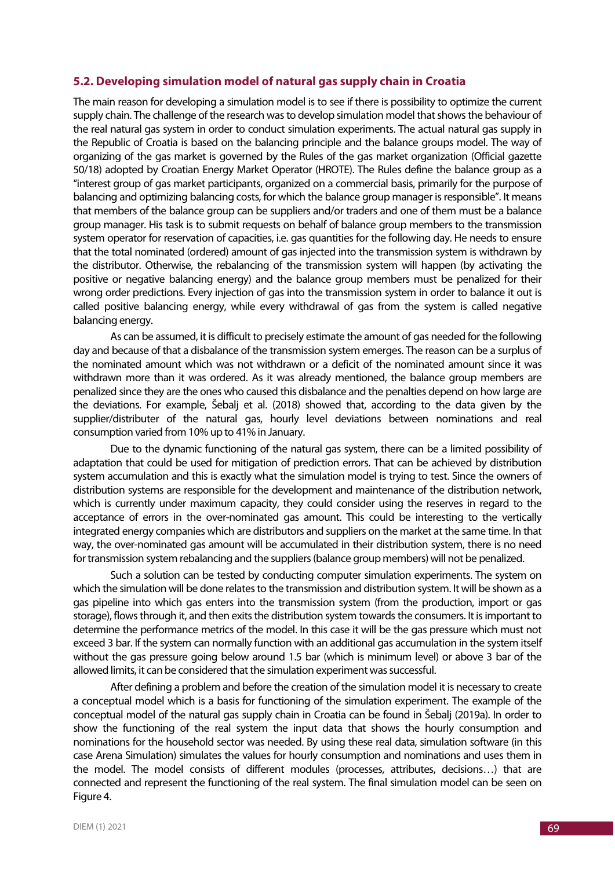#### **5.2. Developing simulation model of natural gas supply chain in Croatia**

The main reason for developing a simulation model is to see if there is possibility to optimize the current supply chain. The challenge of the research was to develop simulation model that shows the behaviour of the real natural gas system in order to conduct simulation experiments. The actual natural gas supply in the Republic of Croatia is based on the balancing principle and the balance groups model. The way of organizing of the gas market is governed by the Rules of the gas market organization (Official gazette 50/18) adopted by Croatian Energy Market Operator (HROTE). The Rules define the balance group as a "interest group of gas market participants, organized on a commercial basis, primarily for the purpose of balancing and optimizing balancing costs, for which the balance group manager is responsible". It means that members of the balance group can be suppliers and/or traders and one of them must be a balance group manager. His task is to submit requests on behalf of balance group members to the transmission system operator for reservation of capacities, i.e. gas quantities for the following day. He needs to ensure that the total nominated (ordered) amount of gas injected into the transmission system is withdrawn by the distributor. Otherwise, the rebalancing of the transmission system will happen (by activating the positive or negative balancing energy) and the balance group members must be penalized for their wrong order predictions. Every injection of gas into the transmission system in order to balance it out is called positive balancing energy, while every withdrawal of gas from the system is called negative balancing energy.

As can be assumed, it is difficult to precisely estimate the amount of gas needed for the following day and because of that a disbalance of the transmission system emerges. The reason can be a surplus of the nominated amount which was not withdrawn or a deficit of the nominated amount since it was withdrawn more than it was ordered. As it was already mentioned, the balance group members are penalized since they are the ones who caused this disbalance and the penalties depend on how large are the deviations. For example, Šebalj et al. (2018) showed that, according to the data given by the supplier/distributer of the natural gas, hourly level deviations between nominations and real consumption varied from 10% up to 41% in January.

Due to the dynamic functioning of the natural gas system, there can be a limited possibility of adaptation that could be used for mitigation of prediction errors. That can be achieved by distribution system accumulation and this is exactly what the simulation model is trying to test. Since the owners of distribution systems are responsible for the development and maintenance of the distribution network, which is currently under maximum capacity, they could consider using the reserves in regard to the acceptance of errors in the over-nominated gas amount. This could be interesting to the vertically integrated energy companies which are distributors and suppliers on the market at the same time. In that way, the over-nominated gas amount will be accumulated in their distribution system, there is no need for transmission system rebalancing and the suppliers (balance group members) will not be penalized.

Such a solution can be tested by conducting computer simulation experiments. The system on which the simulation will be done relates to the transmission and distribution system. It will be shown as a gas pipeline into which gas enters into the transmission system (from the production, import or gas storage), flows through it, and then exits the distribution system towards the consumers. It is important to determine the performance metrics of the model. In this case it will be the gas pressure which must not exceed 3 bar. If the system can normally function with an additional gas accumulation in the system itself without the gas pressure going below around 1.5 bar (which is minimum level) or above 3 bar of the allowed limits, it can be considered that the simulation experiment was successful.

After defining a problem and before the creation of the simulation model it is necessary to create a conceptual model which is a basis for functioning of the simulation experiment. The example of the conceptual model of the natural gas supply chain in Croatia can be found in Šebalj (2019a). In order to show the functioning of the real system the input data that shows the hourly consumption and nominations for the household sector was needed. By using these real data, simulation software (in this case Arena Simulation) simulates the values for hourly consumption and nominations and uses them in the model. The model consists of different modules (processes, attributes, decisions…) that are connected and represent the functioning of the real system. The final simulation model can be seen on Figure 4.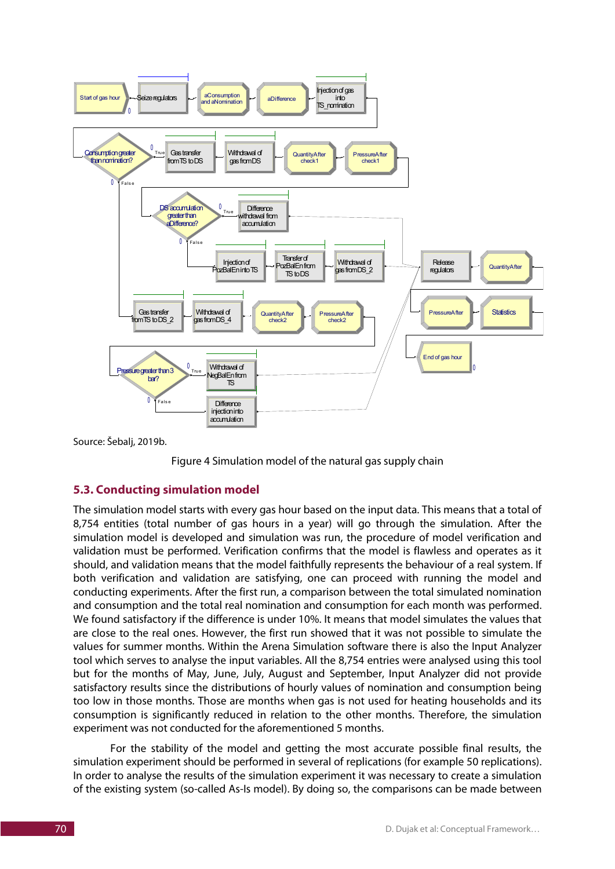

Source: Šebalj, 2019b.



#### **5.3. Conducting simulation model**

The simulation model starts with every gas hour based on the input data. This means that a total of 8,754 entities (total number of gas hours in a year) will go through the simulation. After the simulation model is developed and simulation was run, the procedure of model verification and validation must be performed. Verification confirms that the model is flawless and operates as it should, and validation means that the model faithfully represents the behaviour of a real system. If both verification and validation are satisfying, one can proceed with running the model and conducting experiments. After the first run, a comparison between the total simulated nomination and consumption and the total real nomination and consumption for each month was performed. We found satisfactory if the difference is under 10%. It means that model simulates the values that are close to the real ones. However, the first run showed that it was not possible to simulate the values for summer months. Within the Arena Simulation software there is also the Input Analyzer tool which serves to analyse the input variables. All the 8,754 entries were analysed using this tool but for the months of May, June, July, August and September, Input Analyzer did not provide satisfactory results since the distributions of hourly values of nomination and consumption being too low in those months. Those are months when gas is not used for heating households and its consumption is significantly reduced in relation to the other months. Therefore, the simulation experiment was not conducted for the aforementioned 5 months.

For the stability of the model and getting the most accurate possible final results, the simulation experiment should be performed in several of replications (for example 50 replications). In order to analyse the results of the simulation experiment it was necessary to create a simulation of the existing system (so-called As-Is model). By doing so, the comparisons can be made between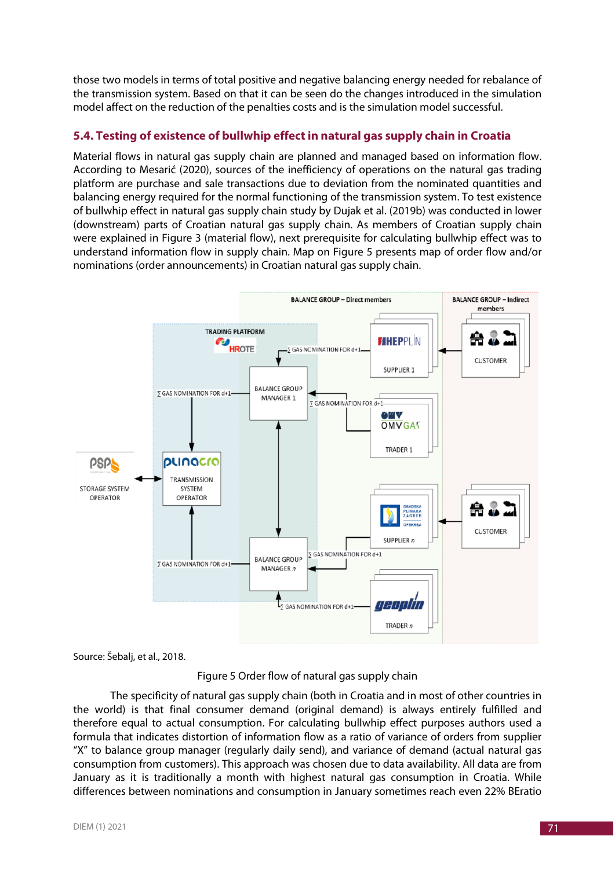those two models in terms of total positive and negative balancing energy needed for rebalance of the transmission system. Based on that it can be seen do the changes introduced in the simulation model affect on the reduction of the penalties costs and is the simulation model successful.

# **5.4. Testing of existence of bullwhip effect in natural gas supply chain in Croatia**

Material flows in natural gas supply chain are planned and managed based on information flow. According to Mesarić (2020), sources of the inefficiency of operations on the natural gas trading platform are purchase and sale transactions due to deviation from the nominated quantities and balancing energy required for the normal functioning of the transmission system. To test existence of bullwhip effect in natural gas supply chain study by Dujak et al. (2019b) was conducted in lower (downstream) parts of Croatian natural gas supply chain. As members of Croatian supply chain were explained in Figure 3 (material flow), next prerequisite for calculating bullwhip effect was to understand information flow in supply chain. Map on Figure 5 presents map of order flow and/or nominations (order announcements) in Croatian natural gas supply chain.



Source: Šebalj, et al., 2018.

Figure 5 Order flow of natural gas supply chain

The specificity of natural gas supply chain (both in Croatia and in most of other countries in the world) is that final consumer demand (original demand) is always entirely fulfilled and therefore equal to actual consumption. For calculating bullwhip effect purposes authors used a formula that indicates distortion of information flow as a ratio of variance of orders from supplier "X" to balance group manager (regularly daily send), and variance of demand (actual natural gas consumption from customers). This approach was chosen due to data availability. All data are from January as it is traditionally a month with highest natural gas consumption in Croatia. While differences between nominations and consumption in January sometimes reach even 22% BEratio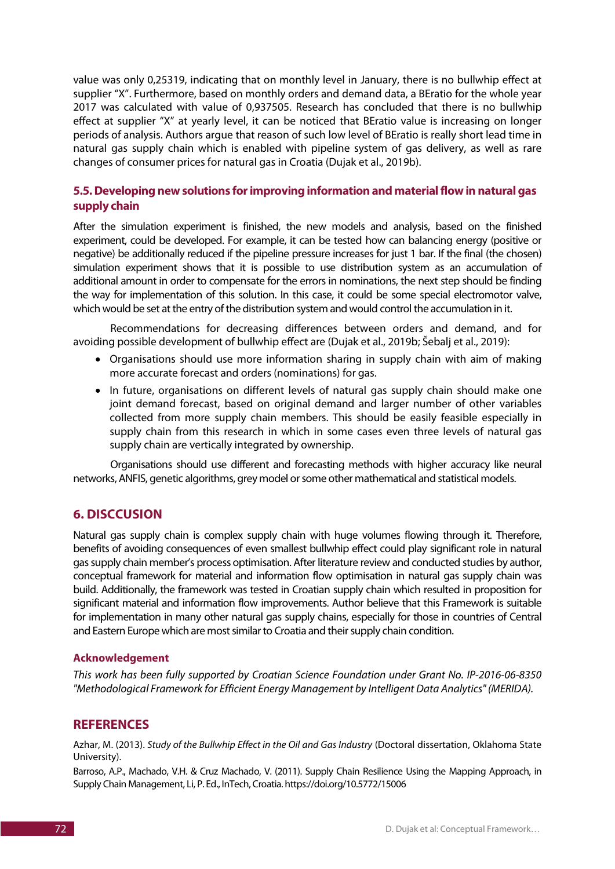value was only 0,25319, indicating that on monthly level in January, there is no bullwhip effect at supplier "X". Furthermore, based on monthly orders and demand data, a BEratio for the whole year 2017 was calculated with value of 0,937505. Research has concluded that there is no bullwhip effect at supplier "X" at yearly level, it can be noticed that BEratio value is increasing on longer periods of analysis. Authors argue that reason of such low level of BEratio is really short lead time in natural gas supply chain which is enabled with pipeline system of gas delivery, as well as rare changes of consumer prices for natural gas in Croatia (Dujak et al., 2019b).

## **5.5. Developing new solutions for improving information and material flow in natural gas supply chain**

After the simulation experiment is finished, the new models and analysis, based on the finished experiment, could be developed. For example, it can be tested how can balancing energy (positive or negative) be additionally reduced if the pipeline pressure increases for just 1 bar. If the final (the chosen) simulation experiment shows that it is possible to use distribution system as an accumulation of additional amount in order to compensate for the errors in nominations, the next step should be finding the way for implementation of this solution. In this case, it could be some special electromotor valve, which would be set at the entry of the distribution system and would control the accumulation in it.

Recommendations for decreasing differences between orders and demand, and for avoiding possible development of bullwhip effect are (Dujak et al., 2019b; Šebalj et al., 2019):

- Organisations should use more information sharing in supply chain with aim of making more accurate forecast and orders (nominations) for gas.
- In future, organisations on different levels of natural gas supply chain should make one joint demand forecast, based on original demand and larger number of other variables collected from more supply chain members. This should be easily feasible especially in supply chain from this research in which in some cases even three levels of natural gas supply chain are vertically integrated by ownership.

Organisations should use different and forecasting methods with higher accuracy like neural networks, ANFIS, genetic algorithms, grey model or some other mathematical and statistical models.

## **6. DISCCUSION**

Natural gas supply chain is complex supply chain with huge volumes flowing through it. Therefore, benefits of avoiding consequences of even smallest bullwhip effect could play significant role in natural gas supply chain member's process optimisation. After literature review and conducted studies by author, conceptual framework for material and information flow optimisation in natural gas supply chain was build. Additionally, the framework was tested in Croatian supply chain which resulted in proposition for significant material and information flow improvements. Author believe that this Framework is suitable for implementation in many other natural gas supply chains, especially for those in countries of Central and Eastern Europe which are most similar to Croatia and their supply chain condition.

#### **Acknowledgement**

*This work has been fully supported by Croatian Science Foundation under Grant No. IP-2016-06-8350 "Methodological Framework for Efficient Energy Management by Intelligent Data Analytics" (MERIDA).*

#### **REFERENCES**

Azhar, M. (2013). *Study of the Bullwhip Effect in the Oil and Gas Industry* (Doctoral dissertation, Oklahoma State University).

Barroso, A.P., Machado, V.H. & Cruz Machado, V. (2011). Supply Chain Resilience Using the Mapping Approach, in Supply Chain Management, Li, P. Ed., InTech, Croatia. https://doi.org/10.5772/15006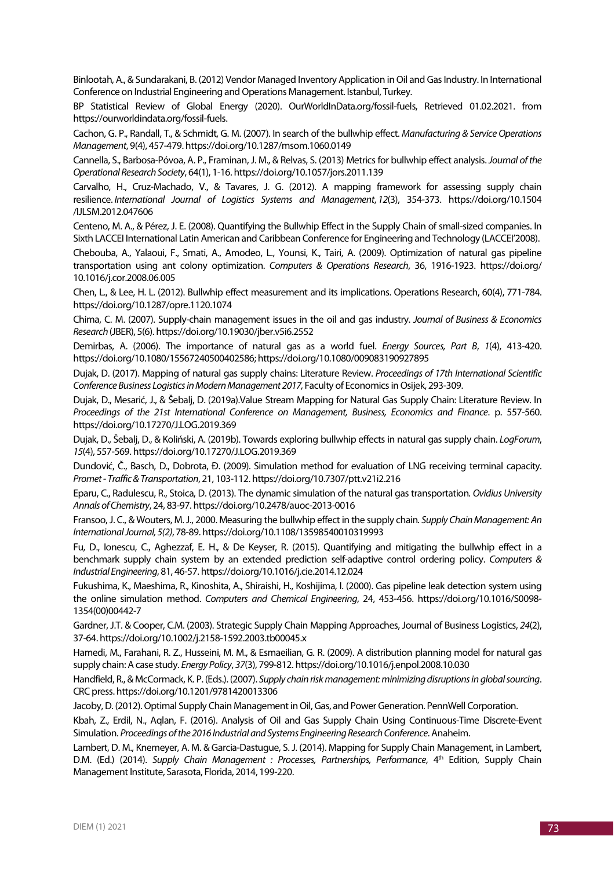Binlootah, A., & Sundarakani, B. (2012) Vendor Managed Inventory Application in Oil and Gas Industry. In International Conference on Industrial Engineering and Operations Management. Istanbul, Turkey.

BP Statistical Review of Global Energy (2020). OurWorldInData.org/fossil-fuels, Retrieved 01.02.2021. from https://ourworldindata.org/fossil-fuels.

Cachon, G. P., Randall, T., & Schmidt, G. M. (2007). In search of the bullwhip effect. *Manufacturing & Service Operations Management*, 9(4), 457-479. https://doi.org/10.1287/msom.1060.0149

Cannella, S., Barbosa-Póvoa, A. P., Framinan, J. M., & Relvas, S. (2013) Metrics for bullwhip effect analysis. *Journal of the Operational Research Society*, 64(1), 1-16. https://doi.org/10.1057/jors.2011.139

Carvalho, H., Cruz-Machado, V., & Tavares, J. G. (2012). A mapping framework for assessing supply chain resilience. *International Journal of Logistics Systems and Management*, *12*(3), 354-373. https://doi.org/10.1504 /IJLSM.2012.047606

Centeno, M. A., & Pérez, J. E. (2008). Quantifying the Bullwhip Effect in the Supply Chain of small-sized companies. In Sixth LACCEI International Latin American and Caribbean Conference for Engineering and Technology (LACCEI'2008).

Chebouba, A., Yalaoui, F., Smati, A., Amodeo, L., Younsi, K., Tairi, A. (2009). Optimization of natural gas pipeline transportation using ant colony optimization. *Computers & Operations Research*, 36, 1916-1923. https://doi.org/ 10.1016/j.cor.2008.06.005

Chen, L., & Lee, H. L. (2012). Bullwhip effect measurement and its implications. Operations Research, 60(4), 771-784. https://doi.org/10.1287/opre.1120.1074

Chima, C. M. (2007). Supply-chain management issues in the oil and gas industry. *Journal of Business & Economics Research* (JBER), 5(6). https://doi.org/10.19030/jber.v5i6.2552

Demirbas, A. (2006). The importance of natural gas as a world fuel. *Energy Sources, Part B*, *1*(4), 413-420. https://doi.org/10.1080/15567240500402586; https://doi.org/10.1080/009083190927895

Dujak, D. (2017). Mapping of natural gas supply chains: Literature Review. *Proceedings of 17th International Scientific Conference Business Logistics in Modern Management 2017,* Faculty of Economics in Osijek, 293-309.

Dujak, D., Mesarić, J., & Šebalj, D. (2019a).Value Stream Mapping for Natural Gas Supply Chain: Literature Review. In *Proceedings of the 21st International Conference on Management, Business, Economics and Finance*. p. 557-560. https://doi.org/10.17270/J.LOG.2019.369

Dujak, D., Šebalj, D., & Koliński, A. (2019b). Towards exploring bullwhip effects in natural gas supply chain. *LogForum*, *15*(4), 557-569. https://doi.org/10.17270/J.LOG.2019.369

Dundović, Č., Basch, D., Dobrota, Đ. (2009). Simulation method for evaluation of LNG receiving terminal capacity. *Promet - Traffic & Transportation*, 21, 103-112. https://doi.org/10.7307/ptt.v21i2.216

Eparu, C., Radulescu, R., Stoica, D. (2013). The dynamic simulation of the natural gas transportation*. Ovidius University Annals of Chemistry*, 24, 83-97. https://doi.org/10.2478/auoc-2013-0016

Fransoo, J. C., & Wouters, M. J., 2000. Measuring the bullwhip effect in the supply chain*. Supply Chain Management: An International Journal, 5(2)*, 78-89. https://doi.org/10.1108/13598540010319993

Fu, D., Ionescu, C., Aghezzaf, E. H., & De Keyser, R. (2015). Quantifying and mitigating the bullwhip effect in a benchmark supply chain system by an extended prediction self-adaptive control ordering policy. *Computers & Industrial Engineering*, 81, 46-57. https://doi.org/10.1016/j.cie.2014.12.024

Fukushima, K., Maeshima, R., Kinoshita, A., Shiraishi, H., Koshijima, I. (2000). Gas pipeline leak detection system using the online simulation method. *Computers and Chemical Engineering*, 24, 453-456. https://doi.org/10.1016/S0098- 1354(00)00442-7

Gardner, J.T. & Cooper, C.M. (2003). Strategic Supply Chain Mapping Approaches, Journal of Business Logistics, *24*(2), 37-64. https://doi.org/10.1002/j.2158-1592.2003.tb00045.x

Hamedi, M., Farahani, R. Z., Husseini, M. M., & Esmaeilian, G. R. (2009). A distribution planning model for natural gas supply chain: A case study. *Energy Policy*, *37*(3), 799-812. https://doi.org/10.1016/j.enpol.2008.10.030

Handfield, R., & McCormack, K. P. (Eds.). (2007). *Supply chain risk management: minimizing disruptions in global sourcing*. CRC press. https://doi.org/10.1201/9781420013306

Jacoby, D. (2012). Optimal Supply Chain Management in Oil, Gas, and Power Generation. PennWell Corporation.

Kbah, Z., Erdil, N., Aqlan, F. (2016). Analysis of Oil and Gas Supply Chain Using Continuous-Time Discrete-Event Simulation. *Proceedings of the 2016 Industrial and Systems Engineering Research Conference*. Anaheim.

Lambert, D. M., Knemeyer, A. M. & Garcia-Dastugue, S. J. (2014). Mapping for Supply Chain Management, in Lambert, D.M. (Ed.) (2014). *Supply Chain Management : Processes, Partnerships, Performance*, 4<sup>th</sup> Edition, Supply Chain Management Institute, Sarasota, Florida, 2014, 199-220.